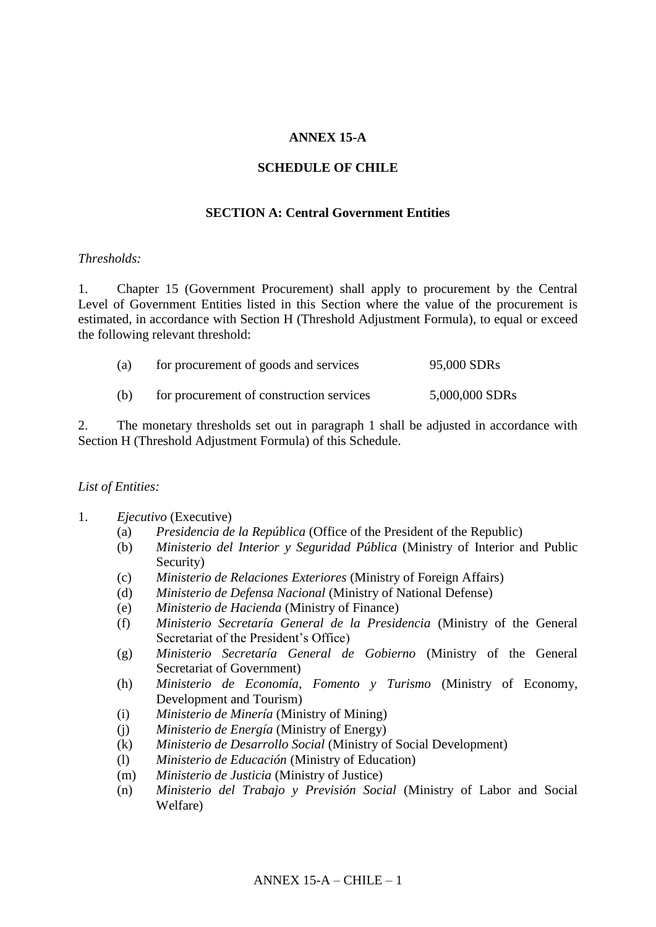## **ANNEX 15-A**

### **SCHEDULE OF CHILE**

### **SECTION A: Central Government Entities**

#### *Thresholds:*

1. Chapter 15 (Government Procurement) shall apply to procurement by the Central Level of Government Entities listed in this Section where the value of the procurement is estimated, in accordance with Section H (Threshold Adjustment Formula), to equal or exceed the following relevant threshold:

| (a) | for procurement of goods and services    | 95,000 SDRs    |
|-----|------------------------------------------|----------------|
| (b) | for procurement of construction services | 5,000,000 SDRs |

2. The monetary thresholds set out in paragraph 1 shall be adjusted in accordance with Section H (Threshold Adjustment Formula) of this Schedule.

#### *List of Entities:*

- 1. *Ejecutivo* (Executive)
	- (a) *Presidencia de la República* (Office of the President of the Republic)
	- (b) *Ministerio del Interior y Seguridad Pública* (Ministry of Interior and Public Security)
	- (c) *Ministerio de Relaciones Exteriores* (Ministry of Foreign Affairs)
	- (d) *Ministerio de Defensa Nacional* (Ministry of National Defense)
	- (e) *Ministerio de Hacienda* (Ministry of Finance)
	- (f) *Ministerio Secretaría General de la Presidencia* (Ministry of the General Secretariat of the President's Office)
	- (g) *Ministerio Secretaría General de Gobierno* (Ministry of the General Secretariat of Government)
	- (h) *Ministerio de Economía, Fomento y Turismo* (Ministry of Economy, Development and Tourism)
	- (i) *Ministerio de Minería* (Ministry of Mining)
	- (j) *Ministerio de Energía* (Ministry of Energy)
	- (k) *Ministerio de Desarrollo Social* (Ministry of Social Development)
	- (l) *Ministerio de Educación* (Ministry of Education)
	- (m) *Ministerio de Justicia* (Ministry of Justice)
	- (n) *Ministerio del Trabajo y Previsión Social* (Ministry of Labor and Social Welfare)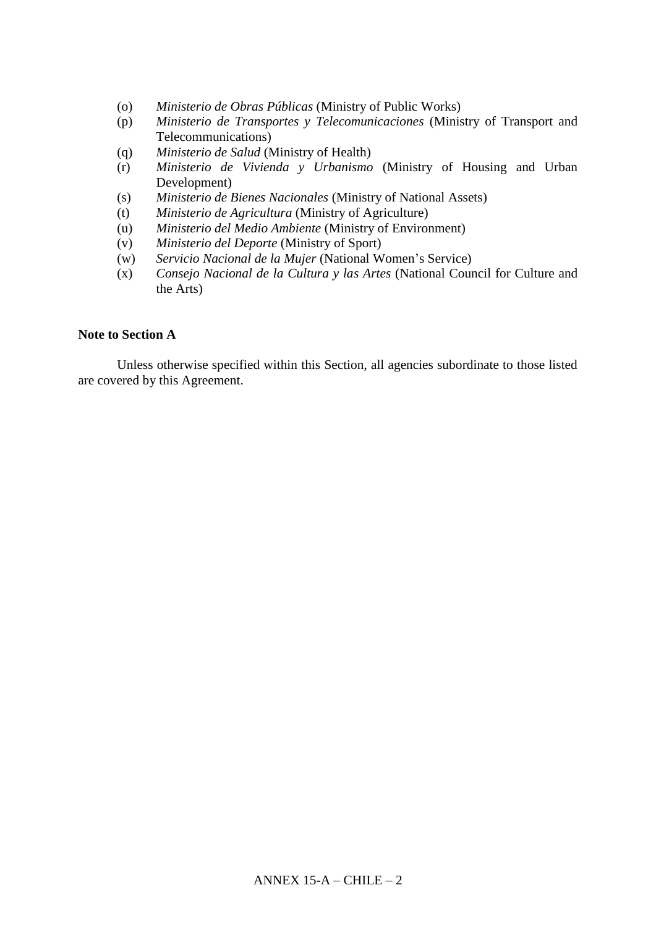- (o) *Ministerio de Obras Públicas* (Ministry of Public Works)
- (p) *Ministerio de Transportes y Telecomunicaciones* (Ministry of Transport and Telecommunications)
- (q) *Ministerio de Salud* (Ministry of Health)
- (r) *Ministerio de Vivienda y Urbanismo* (Ministry of Housing and Urban Development)
- (s) *Ministerio de Bienes Nacionales* (Ministry of National Assets)
- (t) *Ministerio de Agricultura* (Ministry of Agriculture)
- (u) *Ministerio del Medio Ambiente* (Ministry of Environment)
- (v) *Ministerio del Deporte* (Ministry of Sport)
- (w) *Servicio Nacional de la Mujer* (National Women's Service)
- (x) *Consejo Nacional de la Cultura y las Artes* (National Council for Culture and the Arts)

### **Note to Section A**

Unless otherwise specified within this Section, all agencies subordinate to those listed are covered by this Agreement.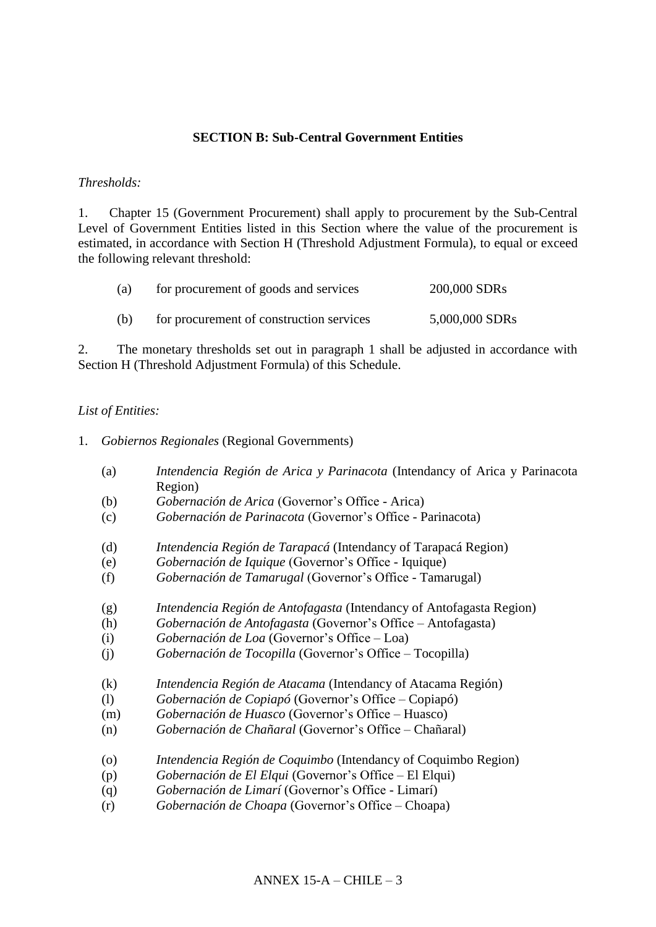## **SECTION B: Sub-Central Government Entities**

#### *Thresholds:*

1. Chapter 15 (Government Procurement) shall apply to procurement by the Sub-Central Level of Government Entities listed in this Section where the value of the procurement is estimated, in accordance with Section H (Threshold Adjustment Formula), to equal or exceed the following relevant threshold:

| (a) | for procurement of goods and services    | 200,000 SDRs   |
|-----|------------------------------------------|----------------|
| (b) | for procurement of construction services | 5,000,000 SDRs |

2. The monetary thresholds set out in paragraph 1 shall be adjusted in accordance with Section H (Threshold Adjustment Formula) of this Schedule.

#### *List of Entities:*

1. *Gobiernos Regionales* (Regional Governments)

| (a) | Intendencia Región de Arica y Parinacota (Intendancy of Arica y Parinacota |
|-----|----------------------------------------------------------------------------|
|     | Region)                                                                    |

- (b) *Gobernación de Arica* (Governor's Office Arica)
- (c) *Gobernación de Parinacota* (Governor's Office Parinacota)
- (d) *Intendencia Región de Tarapacá* (Intendancy of Tarapacá Region)
- (e) *Gobernación de Iquique* (Governor's Office Iquique)
- (f) *Gobernación de Tamarugal* (Governor's Office Tamarugal)
- (g) *Intendencia Región de Antofagasta* (Intendancy of Antofagasta Region)
- (h) *Gobernación de Antofagasta* (Governor's Office Antofagasta)
- (i) *Gobernación de Loa* (Governor's Office Loa)
- (j) *Gobernación de Tocopilla* (Governor's Office Tocopilla)
- (k) *Intendencia Región de Atacama* (Intendancy of Atacama Región)
- (l) *Gobernación de Copiapó* (Governor's Office Copiapó)
- (m) *Gobernación de Huasco* (Governor's Office Huasco)
- (n) *Gobernación de Chañaral* (Governor's Office Chañaral)
- (o) *Intendencia Región de Coquimbo* (Intendancy of Coquimbo Region)
- (p) *Gobernación de El Elqui* (Governor's Office El Elqui)
- (q) *Gobernación de Limarí* (Governor's Office Limarí)
- (r) *Gobernación de Choapa* (Governor's Office Choapa)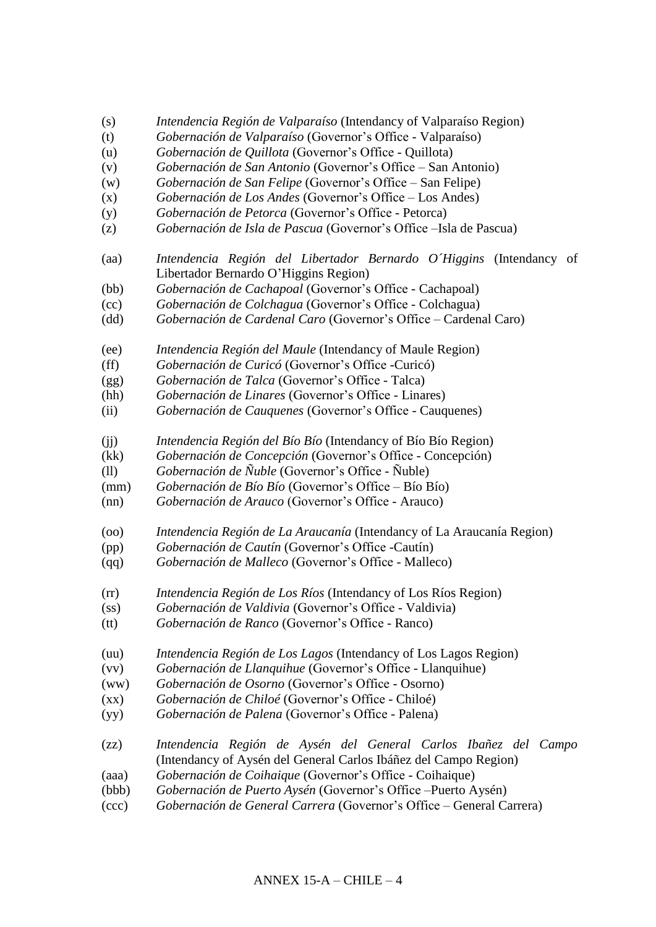- (s) *Intendencia Región de Valparaíso* (Intendancy of Valparaíso Region)
- (t) *Gobernación de Valparaíso* (Governor's Office Valparaíso)
- (u) *Gobernación de Quillota* (Governor's Office Quillota)
- (v) *Gobernación de San Antonio* (Governor's Office San Antonio)
- (w) *Gobernación de San Felipe* (Governor's Office San Felipe)
- (x) *Gobernación de Los Andes* (Governor's Office Los Andes)
- (y) *Gobernación de Petorca* (Governor's Office Petorca)
- (z) *Gobernación de Isla de Pascua* (Governor's Office –Isla de Pascua)
- (aa) *Intendencia Región del Libertador Bernardo O´Higgins* (Intendancy of Libertador Bernardo O'Higgins Region)
- (bb) *Gobernación de Cachapoal* (Governor's Office Cachapoal)
- (cc) *Gobernación de Colchagua* (Governor's Office Colchagua)
- (dd) *Gobernación de Cardenal Caro* (Governor's Office Cardenal Caro)
- (ee) *Intendencia Región del Maule* (Intendancy of Maule Region)
- (ff) *Gobernación de Curicó* (Governor's Office -Curicó)
- (gg) *Gobernación de Talca* (Governor's Office Talca)
- (hh) *Gobernación de Linares* (Governor's Office Linares)
- (ii) *Gobernación de Cauquenes* (Governor's Office Cauquenes)
- (jj) *Intendencia Región del Bío Bío* (Intendancy of Bío Bío Region)
- (kk) *Gobernación de Concepción* (Governor's Office Concepción)
- (ll) *Gobernación de Ñuble* (Governor's Office Ñuble)
- (mm) *Gobernación de Bío Bío* (Governor's Office Bío Bío)
- (nn) *Gobernación de Arauco* (Governor's Office Arauco)
- (oo) *Intendencia Región de La Araucanía* (Intendancy of La Araucanía Region)
- (pp) *Gobernación de Cautín* (Governor's Office -Cautín)
- (qq) *Gobernación de Malleco* (Governor's Office Malleco)
- (rr) *Intendencia Región de Los Ríos* (Intendancy of Los Ríos Region)
- (ss) *Gobernación de Valdivia* (Governor's Office Valdivia)
- (tt) *Gobernación de Ranco* (Governor's Office Ranco)
- (uu) *Intendencia Región de Los Lagos* (Intendancy of Los Lagos Region)
- (vv) *Gobernación de Llanquihue* (Governor's Office Llanquihue)
- (ww) *Gobernación de Osorno* (Governor's Office Osorno)
- (xx) *Gobernación de Chiloé* (Governor's Office Chiloé)
- (yy) *Gobernación de Palena* (Governor's Office Palena)
- (zz) *Intendencia Región de Aysén del General Carlos Ibañez del Campo* (Intendancy of Aysén del General Carlos Ibáñez del Campo Region)
- (aaa) *Gobernación de Coihaique* (Governor's Office Coihaique)
- (bbb) *Gobernación de Puerto Aysén* (Governor's Office –Puerto Aysén)
- (ccc) *Gobernación de General Carrera* (Governor's Office General Carrera)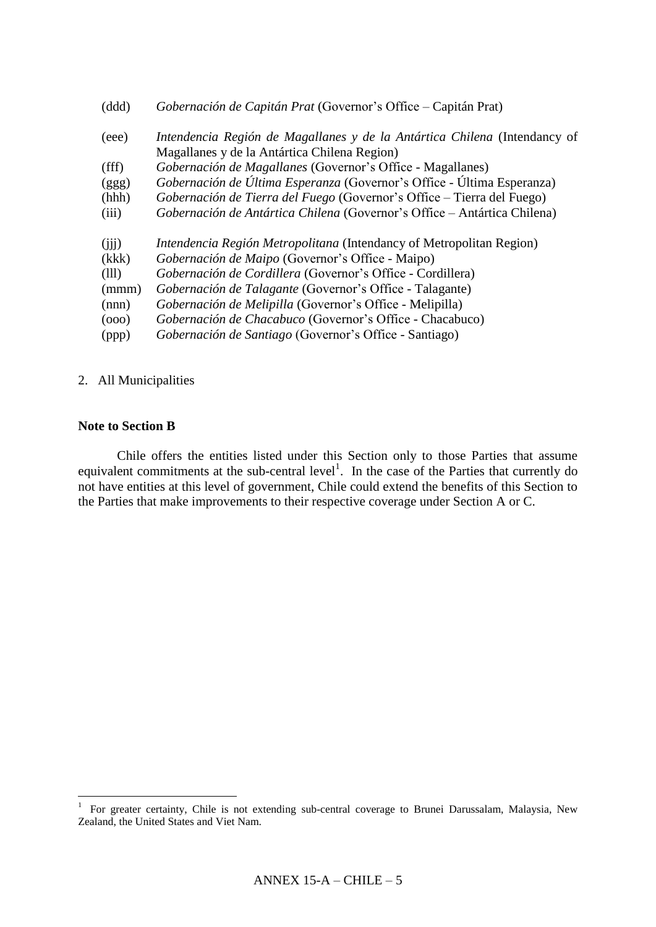| (ddd) | Gobernación de Capitán Prat (Governor's Office – Capitán Prat)            |  |  |
|-------|---------------------------------------------------------------------------|--|--|
| (eee) | Intendencia Región de Magallanes y de la Antártica Chilena (Intendancy of |  |  |
|       | Magallanes y de la Antártica Chilena Region)                              |  |  |
| (fff) | Gobernación de Magallanes (Governor's Office - Magallanes)                |  |  |
| (ggg) | Gobernación de Última Esperanza (Governor's Office - Última Esperanza)    |  |  |
| (hhh) | Gobernación de Tierra del Fuego (Governor's Office – Tierra del Fuego)    |  |  |
| (iii) | Gobernación de Antártica Chilena (Governor's Office – Antártica Chilena)  |  |  |
| (jjj) | Intendencia Región Metropolitana (Intendancy of Metropolitan Region)      |  |  |
| (kkk) | Gobernación de Maipo (Governor's Office - Maipo)                          |  |  |
| (III) | Gobernación de Cordillera (Governor's Office - Cordillera)                |  |  |
| (mmm) | Gobernación de Talagante (Governor's Office - Talagante)                  |  |  |
| (nnn) | Gobernación de Melipilla (Governor's Office - Melipilla)                  |  |  |
| (000) | Gobernación de Chacabuco (Governor's Office - Chacabuco)                  |  |  |
| (ppp) | Gobernación de Santiago (Governor's Office - Santiago)                    |  |  |

## 2. All Municipalities

## **Note to Section B**

Chile offers the entities listed under this Section only to those Parties that assume equivalent commitments at the sub-central level<sup>1</sup>. In the case of the Parties that currently do not have entities at this level of government, Chile could extend the benefits of this Section to the Parties that make improvements to their respective coverage under Section A or C.

 $\frac{1}{1}$ For greater certainty, Chile is not extending sub-central coverage to Brunei Darussalam, Malaysia, New Zealand, the United States and Viet Nam.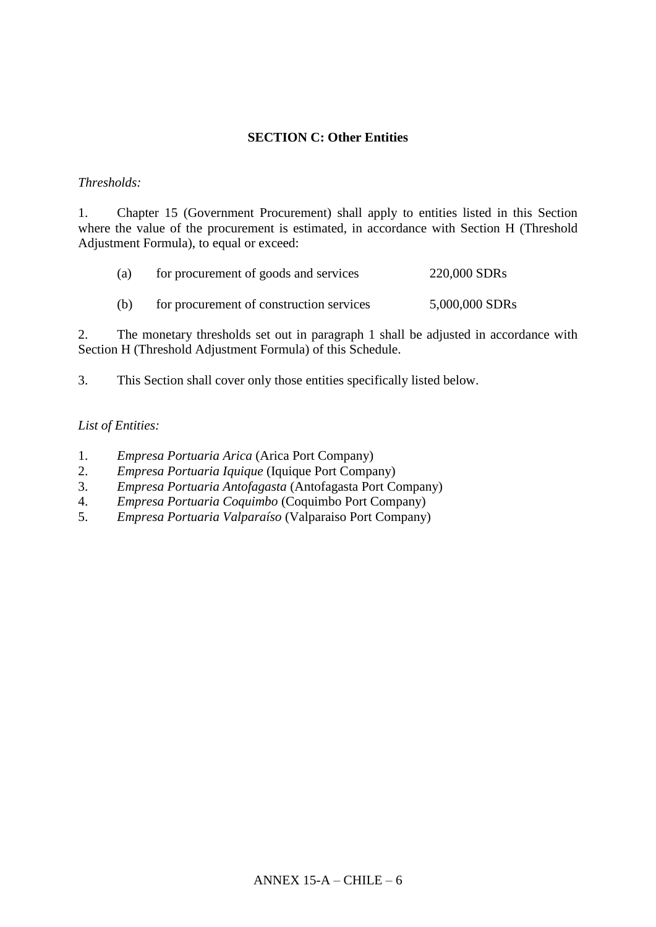## **SECTION C: Other Entities**

### *Thresholds:*

1. Chapter 15 (Government Procurement) shall apply to entities listed in this Section where the value of the procurement is estimated, in accordance with Section H (Threshold Adjustment Formula), to equal or exceed:

| (a) | for procurement of goods and services    | 220,000 SDRs   |
|-----|------------------------------------------|----------------|
| (b) | for procurement of construction services | 5,000,000 SDRs |

2. The monetary thresholds set out in paragraph 1 shall be adjusted in accordance with Section H (Threshold Adjustment Formula) of this Schedule.

3. This Section shall cover only those entities specifically listed below.

#### *List of Entities:*

- 1. *Empresa Portuaria Arica* (Arica Port Company)
- 2. *Empresa Portuaria Iquique* (Iquique Port Company)
- 3. *Empresa Portuaria Antofagasta* (Antofagasta Port Company)
- 4. *Empresa Portuaria Coquimbo* (Coquimbo Port Company)
- 5. *Empresa Portuaria Valparaíso* (Valparaiso Port Company)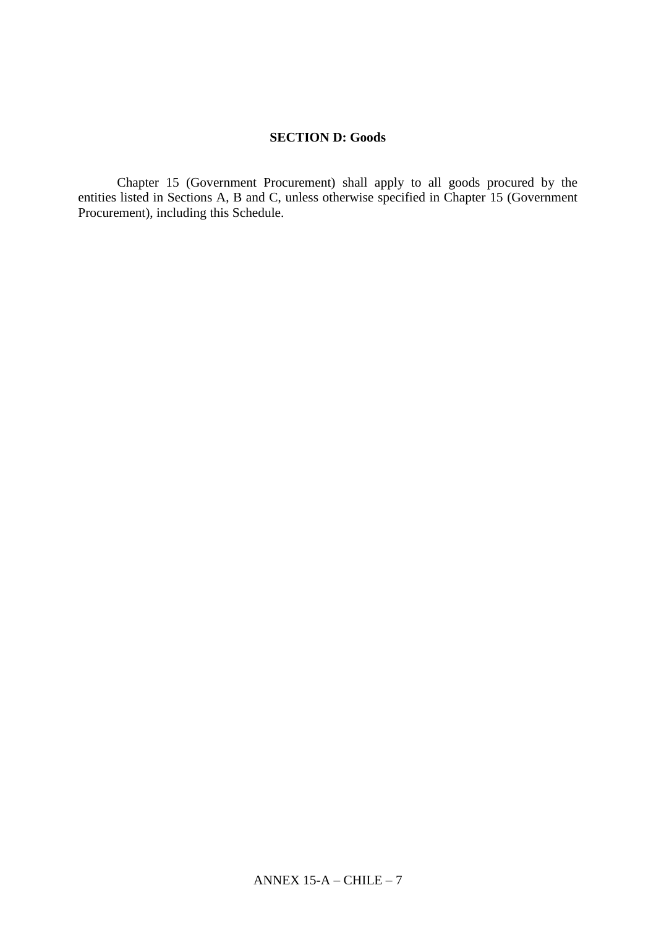## **SECTION D: Goods**

Chapter 15 (Government Procurement) shall apply to all goods procured by the entities listed in Sections A, B and C, unless otherwise specified in Chapter 15 (Government Procurement), including this Schedule.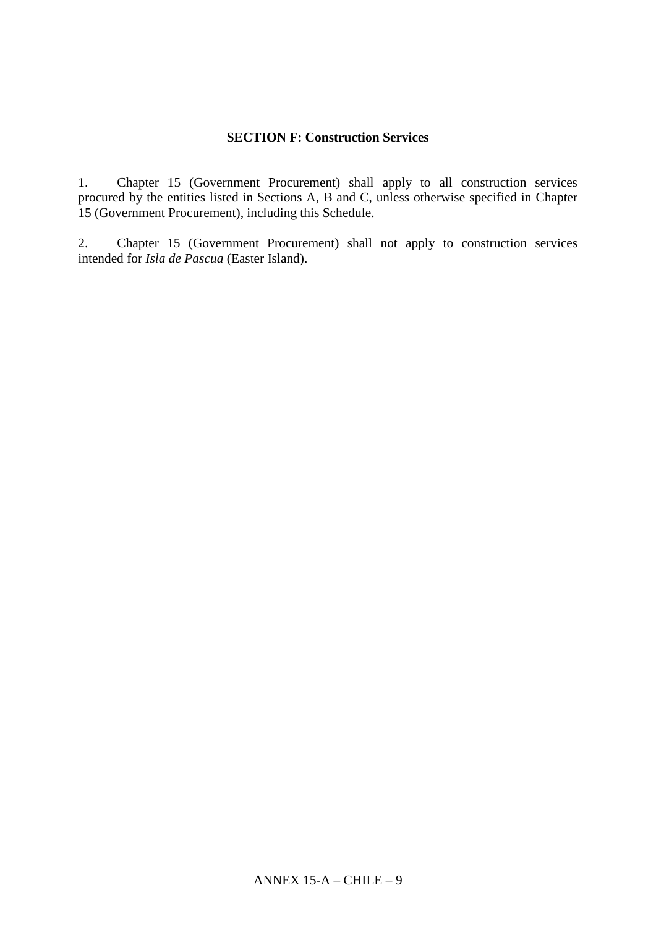## **SECTION F: Construction Services**

1. Chapter 15 (Government Procurement) shall apply to all construction services procured by the entities listed in Sections A, B and C, unless otherwise specified in Chapter 15 (Government Procurement), including this Schedule.

2. Chapter 15 (Government Procurement) shall not apply to construction services intended for *Isla de Pascua* (Easter Island).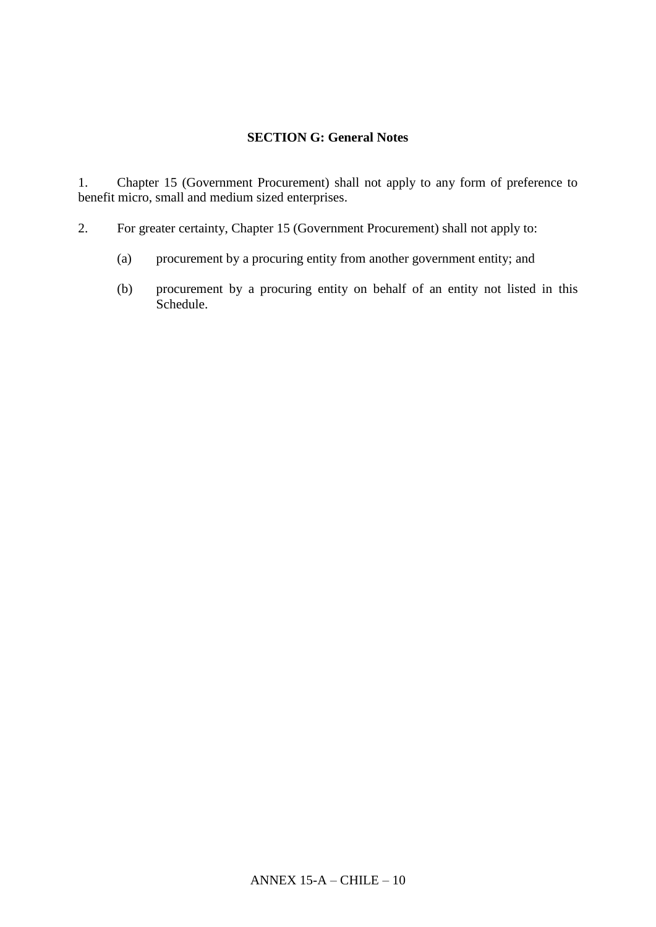# **SECTION G: General Notes**

1. Chapter 15 (Government Procurement) shall not apply to any form of preference to benefit micro, small and medium sized enterprises.

- 2. For greater certainty, Chapter 15 (Government Procurement) shall not apply to:
	- (a) procurement by a procuring entity from another government entity; and
	- (b) procurement by a procuring entity on behalf of an entity not listed in this Schedule.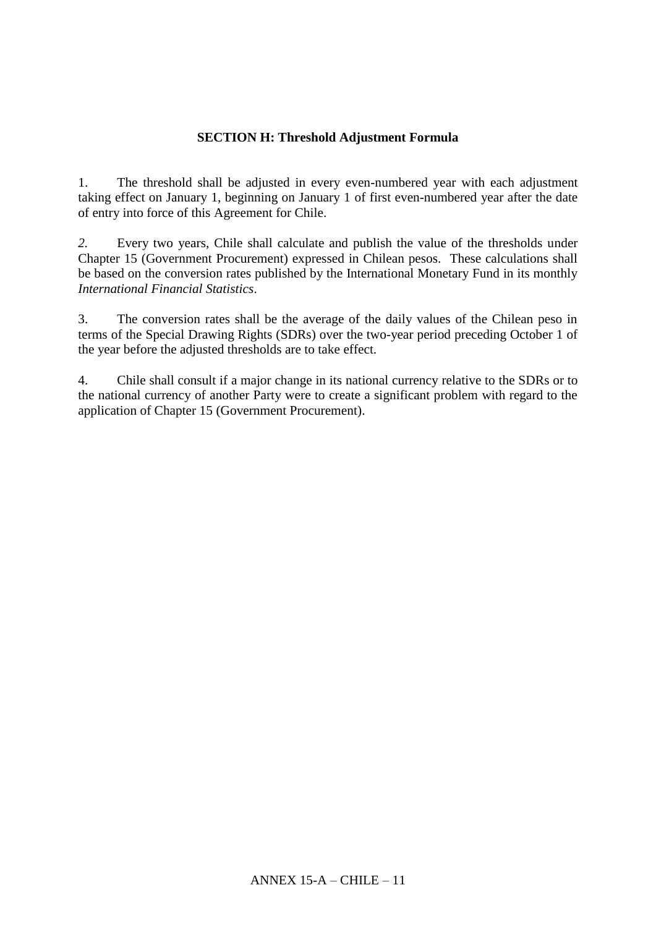## **SECTION H: Threshold Adjustment Formula**

1. The threshold shall be adjusted in every even-numbered year with each adjustment taking effect on January 1, beginning on January 1 of first even-numbered year after the date of entry into force of this Agreement for Chile.

*2.* Every two years, Chile shall calculate and publish the value of the thresholds under Chapter 15 (Government Procurement) expressed in Chilean pesos. These calculations shall be based on the conversion rates published by the International Monetary Fund in its monthly *International Financial Statistics*.

3. The conversion rates shall be the average of the daily values of the Chilean peso in terms of the Special Drawing Rights (SDRs) over the two-year period preceding October 1 of the year before the adjusted thresholds are to take effect.

4. Chile shall consult if a major change in its national currency relative to the SDRs or to the national currency of another Party were to create a significant problem with regard to the application of Chapter 15 (Government Procurement).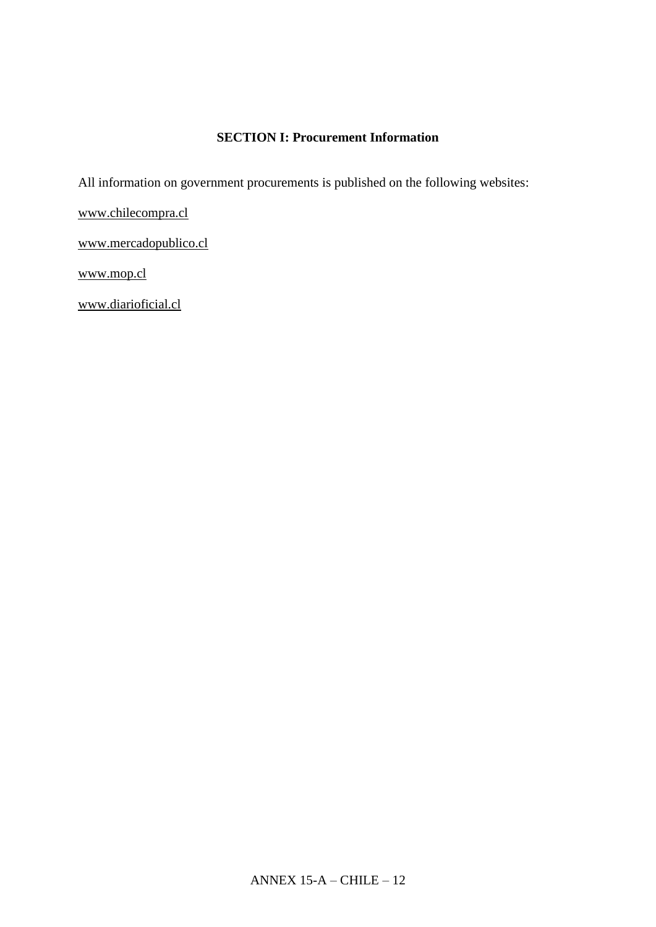# **SECTION I: Procurement Information**

All information on government procurements is published on the following websites:

[www.chilecompra.cl](http://www.chilecompra.cl/)

[www.mercadopublico.cl](http://www.mercadopublico.cl/)

[www.mop.cl](http://www.mop.cl/)

[www.diarioficial.cl](http://www.diarioficial.cl/)